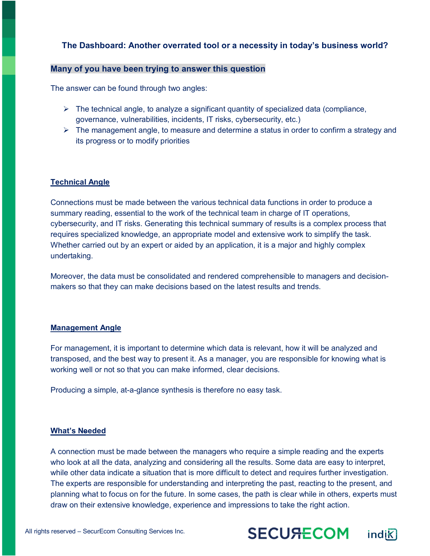## **The Dashboard: Another overrated tool or a necessity in today's business world?**

## **Many of you have been trying to answer this question**

The answer can be found through two angles:

- $\triangleright$  The technical angle, to analyze a significant quantity of specialized data (compliance, governance, vulnerabilities, incidents, IT risks, cybersecurity, etc.)
- $\triangleright$  The management angle, to measure and determine a status in order to confirm a strategy and its progress or to modify priorities

## **Technical Angle**

Connections must be made between the various technical data functions in order to produce a summary reading, essential to the work of the technical team in charge of IT operations, cybersecurity, and IT risks. Generating this technical summary of results is a complex process that requires specialized knowledge, an appropriate model and extensive work to simplify the task. Whether carried out by an expert or aided by an application, it is a major and highly complex undertaking.

Moreover, the data must be consolidated and rendered comprehensible to managers and decisionmakers so that they can make decisions based on the latest results and trends.

### **Management Angle**

For management, it is important to determine which data is relevant, how it will be analyzed and transposed, and the best way to present it. As a manager, you are responsible for knowing what is working well or not so that you can make informed, clear decisions.

Producing a simple, at-a-glance synthesis is therefore no easy task.

#### **What's Needed**

A connection must be made between the managers who require a simple reading and the experts who look at all the data, analyzing and considering all the results. Some data are easy to interpret, while other data indicate a situation that is more difficult to detect and requires further investigation. The experts are responsible for understanding and interpreting the past, reacting to the present, and planning what to focus on for the future. In some cases, the path is clear while in others, experts must draw on their extensive knowledge, experience and impressions to take the right action.



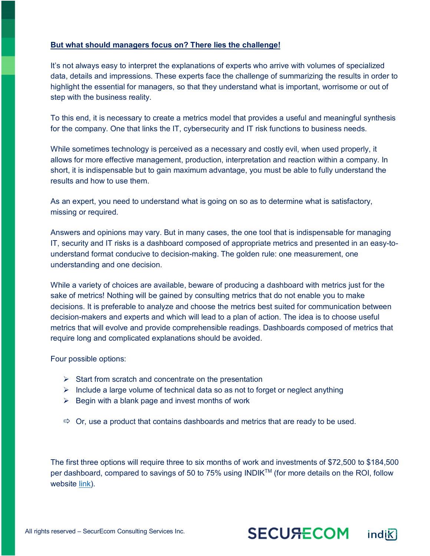## **But what should managers focus on? There lies the challenge!**

It's not always easy to interpret the explanations of experts who arrive with volumes of specialized data, details and impressions. These experts face the challenge of summarizing the results in order to highlight the essential for managers, so that they understand what is important, worrisome or out of step with the business reality.

To this end, it is necessary to create a metrics model that provides a useful and meaningful synthesis for the company. One that links the IT, cybersecurity and IT risk functions to business needs.

While sometimes technology is perceived as a necessary and costly evil, when used properly, it allows for more effective management, production, interpretation and reaction within a company. In short, it is indispensable but to gain maximum advantage, you must be able to fully understand the results and how to use them.

As an expert, you need to understand what is going on so as to determine what is satisfactory, missing or required.

Answers and opinions may vary. But in many cases, the one tool that is indispensable for managing IT, security and IT risks is a dashboard composed of appropriate metrics and presented in an easy-tounderstand format conducive to decision-making. The golden rule: one measurement, one understanding and one decision.

While a variety of choices are available, beware of producing a dashboard with metrics just for the sake of metrics! Nothing will be gained by consulting metrics that do not enable you to make decisions. It is preferable to analyze and choose the metrics best suited for communication between decision-makers and experts and which will lead to a plan of action. The idea is to choose useful metrics that will evolve and provide comprehensible readings. Dashboards composed of metrics that require long and complicated explanations should be avoided.

Four possible options:

- $\triangleright$  Start from scratch and concentrate on the presentation
- $\triangleright$  Include a large volume of technical data so as not to forget or neglect anything
- $\triangleright$  Begin with a blank page and invest months of work
- $\Rightarrow$  Or, use a product that contains dashboards and metrics that are ready to be used.

The first three options will require three to six months of work and investments of \$72,500 to \$184,500 per dashboard, compared to savings of 50 to 75% using INDIK<sup>™</sup> (for more details on the ROI, follow website link).